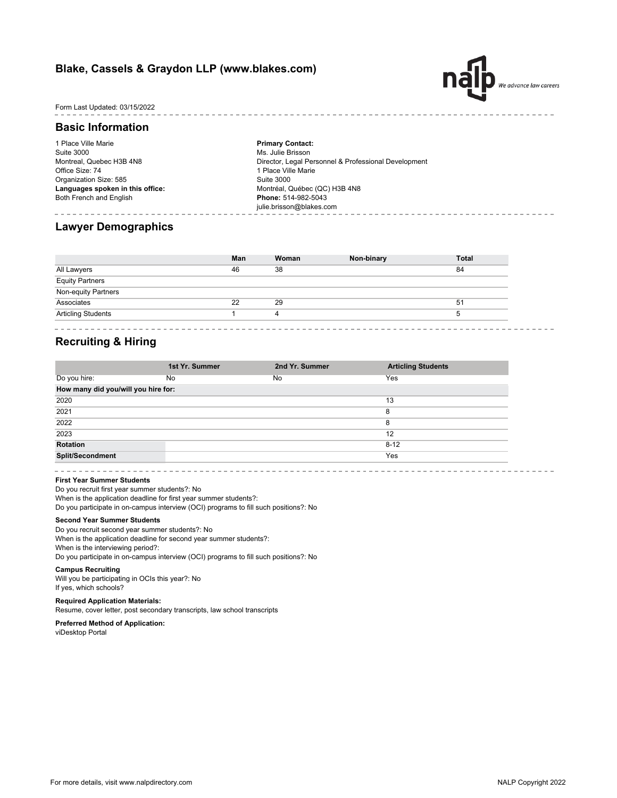# **Blake, Cassels & Graydon LLP (www.blakes.com)**



### Form Last Updated: 03/15/2022

### **Basic Information**

1 Place Ville Marie Suite 3000 Montreal, Quebec H3B 4N8 Office Size: 74 Organization Size: 585 **Languages spoken in this office:** Both French and English

**Primary Contact:** Ms. Julie Brisson Director, Legal Personnel & Professional Development 1 Place Ville Marie Suite 3000 Montréal, Québec (QC) H3B 4N8 **Phone:** 514-982-5043 julie.brisson@blakes.com

## **Lawyer Demographics**

---------

--------

|                                | Man | Woman | Non-binary | <b>Total</b> |
|--------------------------------|-----|-------|------------|--------------|
|                                | 46  | 38    |            | 84           |
| All Lawyers<br>Equity Partners |     |       |            |              |
| Non-equity Partners            |     |       |            |              |
| Associates                     | 22  | 29    |            | 51           |
| <b>Articling Students</b>      |     | 4     |            |              |

## **Recruiting & Hiring**

|                                     | 1st Yr. Summer | 2nd Yr. Summer | <b>Articling Students</b> |
|-------------------------------------|----------------|----------------|---------------------------|
| Do you hire:                        | No             | No             | Yes                       |
| How many did you/will you hire for: |                |                |                           |
| 2020                                |                |                | 13                        |
| 2021                                |                |                | 8                         |
| 2022                                |                |                | 8                         |
| 2023                                |                |                | 12                        |
| Rotation                            |                |                | $8 - 12$                  |
| Split/Secondment                    |                |                | Yes                       |

### **First Year Summer Students**

When is the application deadline for first year summer students?: Do you participate in on-campus interview (OCI) programs to fill such positions?: No Do you recruit first year summer students?: No

### **Second Year Summer Students**

When is the application deadline for second year summer students?: When is the interviewing period?: Do you participate in on-campus interview (OCI) programs to fill such positions?: No Do you recruit second year summer students?: No

### **Campus Recruiting**

Will you be participating in OCIs this year?: No If yes, which schools?

#### **Required Application Materials:**

Resume, cover letter, post secondary transcripts, law school transcripts

#### **Preferred Method of Application:**

viDesktop Portal